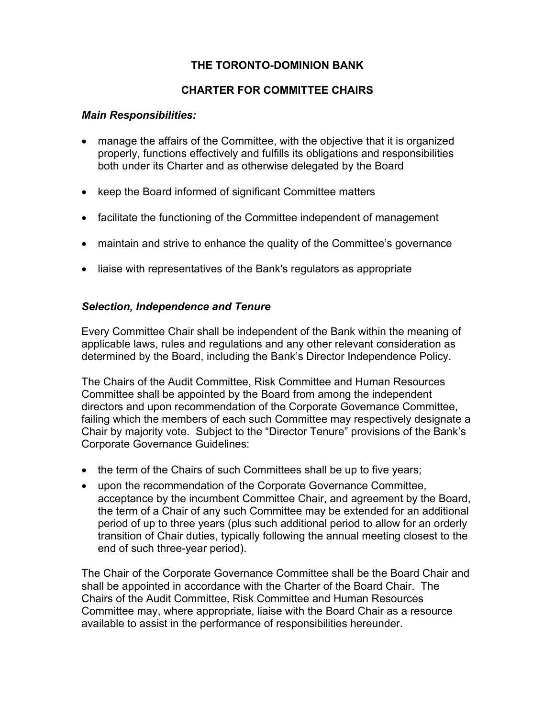# **THE TORONTO-DOMINION BANK**

# **CHARTER FOR COMMITTEE CHAIRS**

#### *Main Responsibilities:*

- manage the affairs of the Committee, with the objective that it is organized properly, functions effectively and fulfills its obligations and responsibilities both under its Charter and as otherwise delegated by the Board
- keep the Board informed of significant Committee matters
- facilitate the functioning of the Committee independent of management
- maintain and strive to enhance the quality of the Committee's governance
- liaise with representatives of the Bank's regulators as appropriate

### *Selection, Independence and Tenure*

Every Committee Chair shall be independent of the Bank within the meaning of applicable laws, rules and regulations and any other relevant consideration as determined by the Board, including the Bank's Director Independence Policy.

The Chairs of the Audit Committee, Risk Committee and Human Resources Committee shall be appointed by the Board from among the independent directors and upon recommendation of the Corporate Governance Committee, failing which the members of each such Committee may respectively designate a Chair by majority vote. Subject to the "Director Tenure" provisions of the Bank's Corporate Governance Guidelines:

- the term of the Chairs of such Committees shall be up to five years;
- upon the recommendation of the Corporate Governance Committee, acceptance by the incumbent Committee Chair, and agreement by the Board, the term of a Chair of any such Committee may be extended for an additional period of up to three years (plus such additional period to allow for an orderly transition of Chair duties, typically following the annual meeting closest to the end of such three-year period).

The Chair of the Corporate Governance Committee shall be the Board Chair and shall be appointed in accordance with the Charter of the Board Chair. The Chairs of the Audit Committee, Risk Committee and Human Resources Committee may, where appropriate, liaise with the Board Chair as a resource available to assist in the performance of responsibilities hereunder.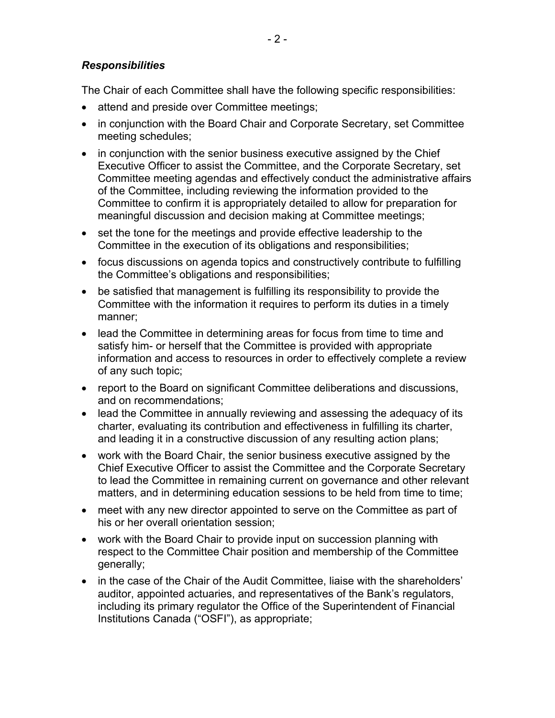## *Responsibilities*

The Chair of each Committee shall have the following specific responsibilities:

- attend and preside over Committee meetings;
- in conjunction with the Board Chair and Corporate Secretary, set Committee meeting schedules;
- in conjunction with the senior business executive assigned by the Chief Executive Officer to assist the Committee, and the Corporate Secretary, set Committee meeting agendas and effectively conduct the administrative affairs of the Committee, including reviewing the information provided to the Committee to confirm it is appropriately detailed to allow for preparation for meaningful discussion and decision making at Committee meetings;
- set the tone for the meetings and provide effective leadership to the Committee in the execution of its obligations and responsibilities;
- focus discussions on agenda topics and constructively contribute to fulfilling the Committee's obligations and responsibilities;
- be satisfied that management is fulfilling its responsibility to provide the Committee with the information it requires to perform its duties in a timely manner;
- lead the Committee in determining areas for focus from time to time and satisfy him- or herself that the Committee is provided with appropriate information and access to resources in order to effectively complete a review of any such topic;
- report to the Board on significant Committee deliberations and discussions, and on recommendations;
- lead the Committee in annually reviewing and assessing the adequacy of its charter, evaluating its contribution and effectiveness in fulfilling its charter, and leading it in a constructive discussion of any resulting action plans;
- work with the Board Chair, the senior business executive assigned by the Chief Executive Officer to assist the Committee and the Corporate Secretary to lead the Committee in remaining current on governance and other relevant matters, and in determining education sessions to be held from time to time;
- meet with any new director appointed to serve on the Committee as part of his or her overall orientation session;
- work with the Board Chair to provide input on succession planning with respect to the Committee Chair position and membership of the Committee generally;
- in the case of the Chair of the Audit Committee, liaise with the shareholders' auditor, appointed actuaries, and representatives of the Bank's regulators, including its primary regulator the Office of the Superintendent of Financial Institutions Canada ("OSFI"), as appropriate;